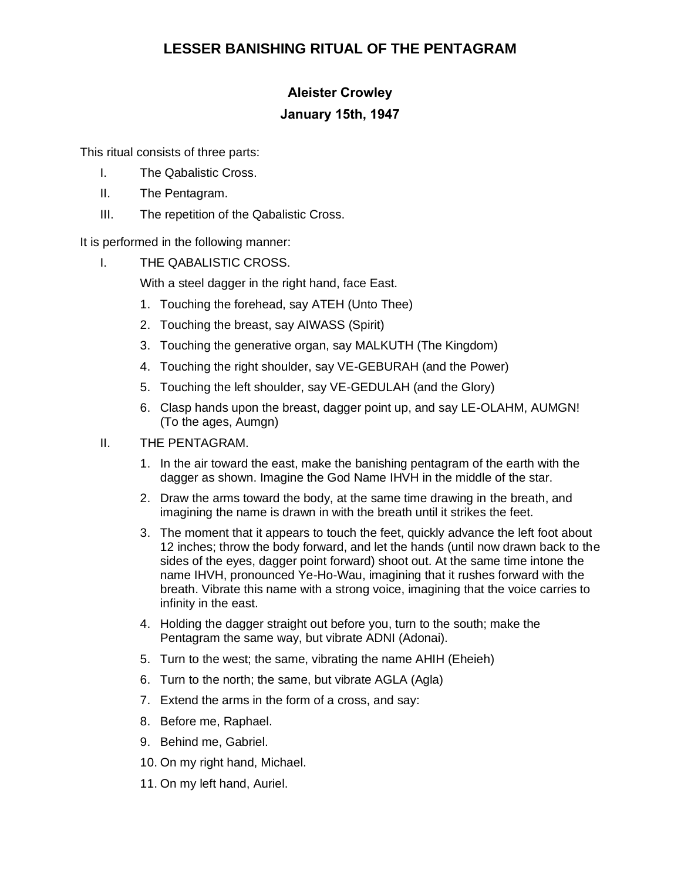## **LESSER BANISHING RITUAL OF THE PENTAGRAM**

## **Aleister Crowley January 15th, 1947**

This ritual consists of three parts:

- I. The Qabalistic Cross.
- II. The Pentagram.
- III. The repetition of the Qabalistic Cross.

It is performed in the following manner:

I. THE QABALISTIC CROSS.

With a steel dagger in the right hand, face East.

- 1. Touching the forehead, say ATEH (Unto Thee)
- 2. Touching the breast, say AIWASS (Spirit)
- 3. Touching the generative organ, say MALKUTH (The Kingdom)
- 4. Touching the right shoulder, say VE-GEBURAH (and the Power)
- 5. Touching the left shoulder, say VE-GEDULAH (and the Glory)
- 6. Clasp hands upon the breast, dagger point up, and say LE-OLAHM, AUMGN! (To the ages, Aumgn)

## II. THE PENTAGRAM.

- 1. In the air toward the east, make the banishing pentagram of the earth with the dagger as shown. Imagine the God Name IHVH in the middle of the star.
- 2. Draw the arms toward the body, at the same time drawing in the breath, and imagining the name is drawn in with the breath until it strikes the feet.
- 3. The moment that it appears to touch the feet, quickly advance the left foot about 12 inches; throw the body forward, and let the hands (until now drawn back to the sides of the eyes, dagger point forward) shoot out. At the same time intone the name IHVH, pronounced Ye-Ho-Wau, imagining that it rushes forward with the breath. Vibrate this name with a strong voice, imagining that the voice carries to infinity in the east.
- 4. Holding the dagger straight out before you, turn to the south; make the Pentagram the same way, but vibrate ADNI (Adonai).
- 5. Turn to the west; the same, vibrating the name AHIH (Eheieh)
- 6. Turn to the north; the same, but vibrate AGLA (Agla)
- 7. Extend the arms in the form of a cross, and say:
- 8. Before me, Raphael.
- 9. Behind me, Gabriel.
- 10. On my right hand, Michael.
- 11. On my left hand, Auriel.